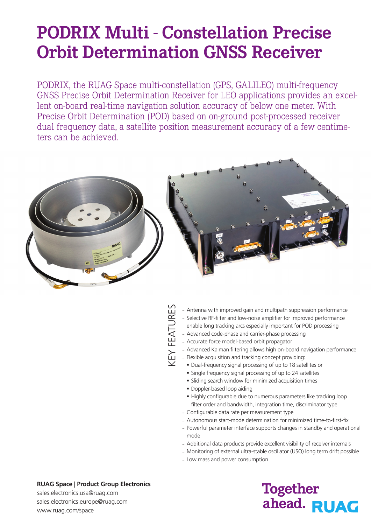# **PODRIX Multi - Constellation Precise Orbit Determination GNSS Receiver**

PODRIX, the RUAG Space multi-constellation (GPS, GALILEO) multi-frequency GNSS Precise Orbit Determination Receiver for LEO applications provides an excellent on-board real-time navigation solution accuracy of below one meter. With Precise Orbit Determination (POD) based on on-ground post-processed receiver dual frequency data, a satellite position measurement accuracy of a few centimeters can be achieved.



KEY FEATURESKEY FEATURES

- Antenna with improved gain and multipath suppression performance – Selective RF-filter and low-noise amplifier for improved performance enable long tracking arcs especially important for POD processing
- Advanced code-phase and carrier-phase processing
- Accurate force model-based orbit propagator
- Advanced Kalman filtering allows high on-board navigation performance
- Flexible acquisition and tracking concept providing:
	- Dual-frequency signal processing of up to 18 satellites or
	- Single frequency signal processing of up to 24 satellites
	- Sliding search window for minimized acquisition times
	- **Doppler-based loop aiding**
	- Highly configurable due to numerous parameters like tracking loop filter order and bandwidth, integration time, discriminator type
- Configurable data rate per measurement type
- Autonomous start-mode determination for minimized time-to-first-fix
- Powerful parameter interface supports changes in standby and operational mode
- Additional data products provide excellent visibility of receiver internals
- Monitoring of external ultra-stable oscillator (USO) long term drift possible
- Low mass and power consumption

#### **RUAG Space | Product Group Electronics**

sales.electronics.usa@ruag.com sales.electronics.europe@ruag.com www.ruag.com/space

## **Together** ahead. RUAG